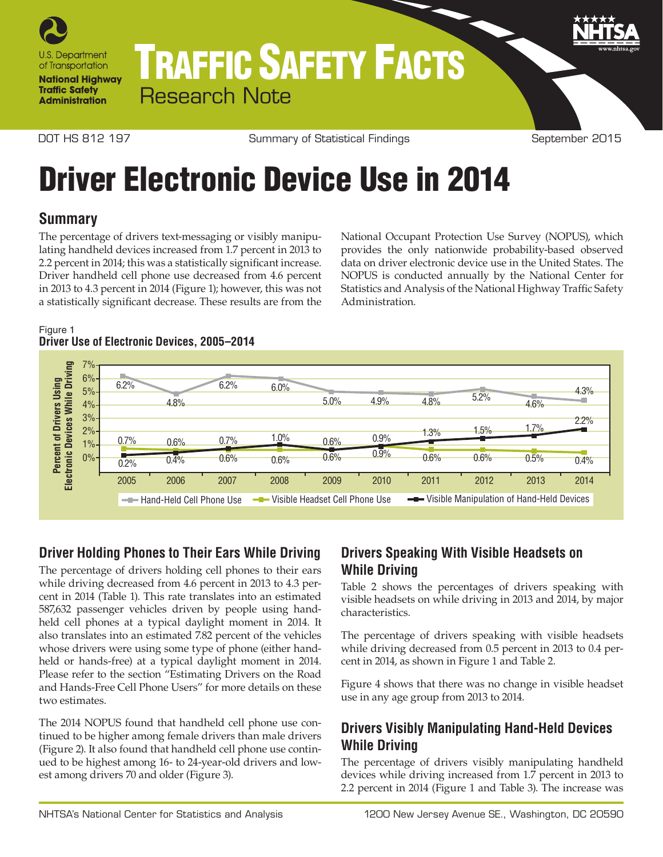

# TRAFFIC SAFETY FACTS Research Note

DOT HS 812 197 Summary of Statistical Findings September 2015

# Driver Electronic Device Use in 2014

## **Summary**

The percentage of drivers text-messaging or visibly manipulating handheld devices increased from 1.7 percent in 2013 to 2.2 percent in 2014; this was a statistically significant increase. Driver handheld cell phone use decreased from 4.6 percent in 2013 to 4.3 percent in 2014 (Figure 1); however, this was not a statistically significant decrease. These results are from the

National Occupant Protection Use Survey (NOPUS), which provides the only nationwide probability-based observed data on driver electronic device use in the United States. The NOPUS is conducted annually by the National Center for Statistics and Analysis of the National Highway Traffic Safety Administration.

#### Figure 1 **Driver Use of Electronic Devices, 2005–2014**



# **Driver Holding Phones to Their Ears While Driving**

The percentage of drivers holding cell phones to their ears while driving decreased from 4.6 percent in 2013 to 4.3 percent in 2014 (Table 1). This rate translates into an estimated 587,632 passenger vehicles driven by people using handheld cell phones at a typical daylight moment in 2014. It also translates into an estimated 7.82 percent of the vehicles whose drivers were using some type of phone (either handheld or hands-free) at a typical daylight moment in 2014. Please refer to the section "Estimating Drivers on the Road and Hands-Free Cell Phone Users" for more details on these two estimates.

The 2014 NOPUS found that handheld cell phone use continued to be higher among female drivers than male drivers (Figure 2). It also found that handheld cell phone use continued to be highest among 16- to 24-year-old drivers and lowest among drivers 70 and older (Figure 3).

## **Drivers Speaking With Visible Headsets on While Driving**

Table 2 shows the percentages of drivers speaking with visible headsets on while driving in 2013 and 2014, by major characteristics.

The percentage of drivers speaking with visible headsets while driving decreased from 0.5 percent in 2013 to 0.4 percent in 2014, as shown in Figure 1 and Table 2.

Figure 4 shows that there was no change in visible headset use in any age group from 2013 to 2014.

## **Drivers Visibly Manipulating Hand-Held Devices While Driving**

The percentage of drivers visibly manipulating handheld devices while driving increased from 1.7 percent in 2013 to 2.2 percent in 2014 (Figure 1 and Table 3). The increase was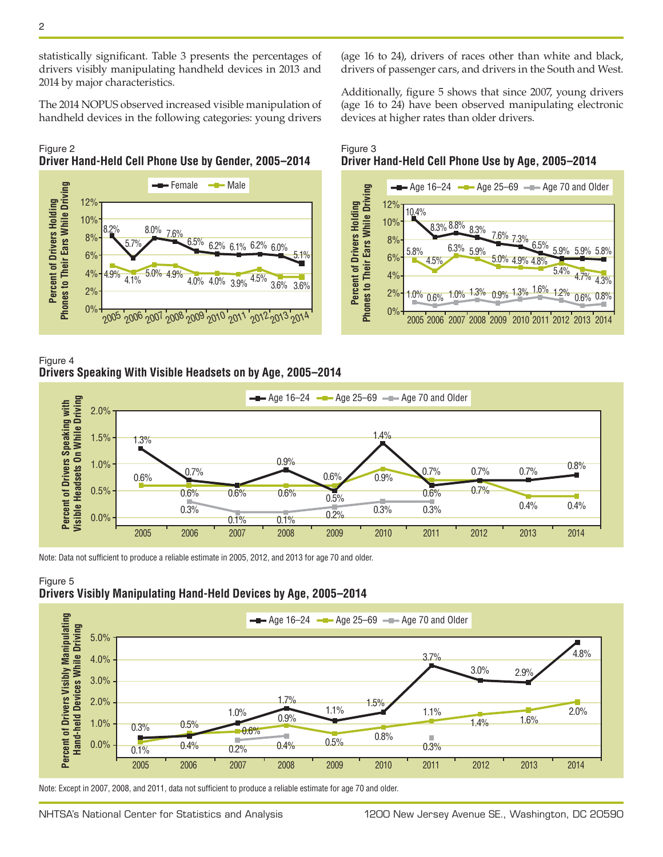statistically significant. Table 3 presents the percentages of drivers visibly manipulating handheld devices in 2013 and 2014 by major characteristics.

The 2014 NOPUS observed increased visible manipulation of handheld devices in the following categories: young drivers

#### Figure 2 **Driver Hand-Held Cell Phone Use by Gender, 2005–2014**



Figure 4 **Drivers Speaking With Visible Headsets on by Age, 2005–2014**

(age 16 to 24), drivers of races other than white and black, drivers of passenger cars, and drivers in the South and West.

Additionally, figure 5 shows that since 2007, young drivers (age 16 to 24) have been observed manipulating electronic devices at higher rates than older drivers.

#### Figure 3 **Driver Hand-Held Cell Phone Use by Age, 2005–2014**





Note: Data not sufficient to produce a reliable estimate in 2005, 2012, and 2013 for age 70 and older.





Note: Except in 2007, 2008, and 2011, data not sufficient to produce a reliable estimate for age 70 and older.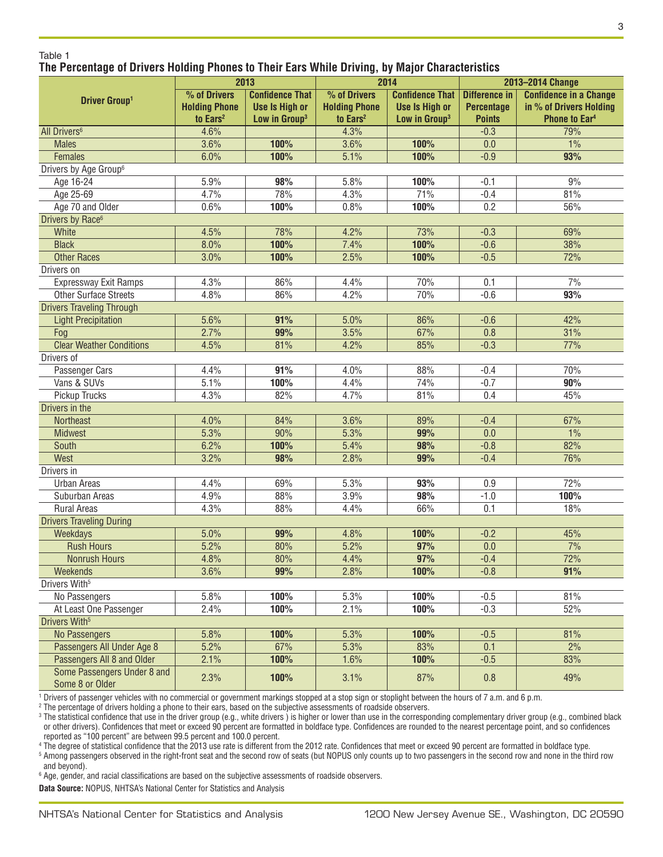#### Table 1 **The Percentage of Drivers Holding Phones to Their Ears While Driving, by Major Characteristics**

|                                                | 2013                 |                           | 2014                 |                           | 2013-2014 Change     |                               |  |
|------------------------------------------------|----------------------|---------------------------|----------------------|---------------------------|----------------------|-------------------------------|--|
| <b>Driver Group1</b>                           | % of Drivers         | <b>Confidence That</b>    | % of Drivers         | <b>Confidence That</b>    | <b>Difference in</b> | <b>Confidence in a Change</b> |  |
|                                                | <b>Holding Phone</b> | <b>Use Is High or</b>     | <b>Holding Phone</b> | <b>Use Is High or</b>     | <b>Percentage</b>    | in % of Drivers Holding       |  |
|                                                | to Ears <sup>2</sup> | Low in Group <sup>3</sup> | to Ears <sup>2</sup> | Low in Group <sup>3</sup> | <b>Points</b>        | <b>Phone to Ear4</b>          |  |
| All Drivers <sup>6</sup>                       | 4.6%                 |                           | 4.3%                 |                           | $-0.3$               | 79%                           |  |
| <b>Males</b>                                   | 3.6%                 | 100%                      | 3.6%                 | 100%                      | 0.0                  | 1%                            |  |
| Females                                        | 6.0%                 | 100%                      | 5.1%                 | 100%                      | $-0.9$               | 93%                           |  |
| Drivers by Age Group <sup>6</sup>              |                      |                           |                      |                           |                      |                               |  |
| Age 16-24                                      | 5.9%                 | 98%                       | 5.8%                 | 100%                      | $-0.1$               | 9%                            |  |
| Age 25-69                                      | 4.7%                 | 78%                       | 4.3%                 | 71%                       | $-0.4$               | 81%                           |  |
| Age 70 and Older                               | 0.6%                 | 100%                      | 0.8%                 | 100%                      | 0.2                  | 56%                           |  |
| Drivers by Race <sup>6</sup>                   |                      |                           |                      |                           |                      |                               |  |
| White                                          | 4.5%                 | 78%                       | 4.2%                 | 73%                       | $-0.3$               | 69%                           |  |
| <b>Black</b>                                   | 8.0%                 | 100%                      | 7.4%                 | 100%                      | $-0.6$               | 38%                           |  |
| <b>Other Races</b>                             | 3.0%                 | 100%                      | 2.5%                 | 100%                      | $-0.5$               | 72%                           |  |
| Drivers on                                     |                      |                           |                      |                           |                      |                               |  |
| Expressway Exit Ramps                          | 4.3%                 | 86%                       | 4.4%                 | 70%                       | 0.1                  | 7%                            |  |
| <b>Other Surface Streets</b>                   | 4.8%                 | 86%                       | 4.2%                 | 70%                       | $-0.6$               | 93%                           |  |
| <b>Drivers Traveling Through</b>               |                      |                           |                      |                           |                      |                               |  |
| <b>Light Precipitation</b>                     | 5.6%                 | 91%                       | 5.0%                 | 86%                       | $-0.6$               | 42%                           |  |
| Fog                                            | 2.7%                 | 99%                       | 3.5%                 | 67%                       | 0.8                  | 31%                           |  |
| <b>Clear Weather Conditions</b>                | 4.5%                 | 81%                       | 4.2%                 | 85%                       | $-0.3$               | 77%                           |  |
| Drivers of                                     |                      |                           |                      |                           |                      |                               |  |
| Passenger Cars                                 | 4.4%                 | 91%                       | 4.0%                 | 88%                       | $-0.4$               | 70%                           |  |
| Vans & SUVs                                    | 5.1%                 | 100%                      | 4.4%                 | 74%                       | $-0.7$               | 90%                           |  |
| Pickup Trucks                                  | 4.3%                 | 82%                       | 4.7%                 | 81%                       | 0.4                  | 45%                           |  |
| Drivers in the                                 |                      |                           |                      |                           |                      |                               |  |
| Northeast                                      | 4.0%                 | 84%                       | 3.6%                 | 89%                       | $-0.4$               | 67%                           |  |
| Midwest                                        | 5.3%                 | 90%                       | 5.3%                 | 99%                       | 0.0                  | 1%                            |  |
| South                                          | 6.2%                 | 100%                      | 5.4%                 | 98%                       | $-0.8$               | 82%                           |  |
| West                                           | 3.2%                 | 98%                       | 2.8%                 | 99%                       | $-0.4$               | 76%                           |  |
| Drivers in                                     |                      |                           |                      |                           |                      |                               |  |
| <b>Urban Areas</b>                             | 4.4%                 | 69%                       | 5.3%                 | 93%                       | 0.9                  | 72%                           |  |
| Suburban Areas                                 | 4.9%                 | 88%                       | 3.9%                 | 98%                       | $-1.0$               | 100%                          |  |
| <b>Rural Areas</b>                             | 4.3%                 | 88%                       | 4.4%                 | 66%                       | 0.1                  | 18%                           |  |
| <b>Drivers Traveling During</b>                |                      |                           |                      |                           |                      |                               |  |
| Weekdays                                       | 5.0%                 | 99%                       | 4.8%                 | 100%                      | $-0.2$               | 45%                           |  |
| <b>Rush Hours</b>                              | 5.2%                 | 80%                       | 5.2%                 | 97%                       | 0.0                  | 7%                            |  |
| <b>Nonrush Hours</b>                           | 4.8%                 | 80%                       | 4.4%                 | 97%                       | $-0.4$               | 72%                           |  |
| Weekends                                       | 3.6%                 | 99%                       | 2.8%                 | 100%                      | $-0.8$               | 91%                           |  |
| Drivers With <sup>5</sup>                      |                      |                           |                      |                           |                      |                               |  |
| No Passengers                                  | 5.8%                 | 100%                      | 5.3%                 | 100%                      | $-0.5$               | 81%                           |  |
| At Least One Passenger                         | 2.4%                 | 100%                      | 2.1%                 | 100%                      | $-0.3$               | 52%                           |  |
| Drivers With <sup>5</sup>                      |                      |                           |                      |                           |                      |                               |  |
| <b>No Passengers</b>                           | 5.8%                 | 100%                      | 5.3%                 | 100%                      | $-0.5$               | 81%                           |  |
| Passengers All Under Age 8                     | 5.2%                 | 67%                       | 5.3%                 | 83%                       | 0.1                  | 2%                            |  |
| Passengers All 8 and Older                     | 2.1%                 | 100%                      | 1.6%                 | 100%                      | $-0.5$               | 83%                           |  |
| Some Passengers Under 8 and<br>Some 8 or Older | 2.3%                 | 100%                      | 3.1%                 | 87%                       | 0.8                  | 49%                           |  |

1 Drivers of passenger vehicles with no commercial or government markings stopped at a stop sign or stoplight between the hours of 7 a.m. and 6 p.m.

2 The percentage of drivers holding a phone to their ears, based on the subjective assessments of roadside observers.

<sup>3</sup> The statistical confidence that use in the driver group (e.g., white drivers) is higher or lower than use in the corresponding complementary driver group (e.g., combined black or other drivers). Confidences that meet or exceed 90 percent are formatted in boldface type. Confidences are rounded to the nearest percentage point, and so confidences reported as "100 percent" are between 99.5 percent and 100.0 percent.

4 The degree of statistical confidence that the 2013 use rate is different from the 2012 rate. Confidences that meet or exceed 90 percent are formatted in boldface type.

<sup>5</sup> Among passengers observed in the right-front seat and the second row of seats (but NOPUS only counts up to two passengers in the second row and none in the third row and beyond).

 $\,^6$  Age, gender, and racial classifications are based on the subjective assessments of roadside observers.

**Data Source:** NOPUS, NHTSA's National Center for Statistics and Analysis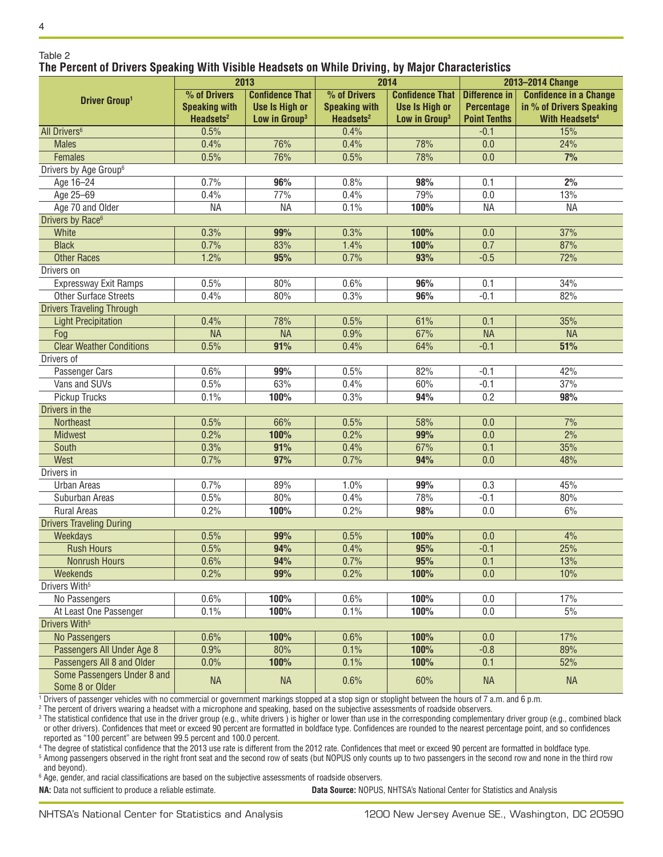#### Table 2 **The Percent of Drivers Speaking With Visible Headsets on While Driving, by Major Characteristics**

|                                                | 2013                  |                           | . .<br>2014           |                           | 2013-2014 Change     |                               |  |
|------------------------------------------------|-----------------------|---------------------------|-----------------------|---------------------------|----------------------|-------------------------------|--|
| <b>Driver Group1</b>                           | % of Drivers          | <b>Confidence That</b>    | % of Drivers          | <b>Confidence That</b>    | <b>Difference in</b> | <b>Confidence in a Change</b> |  |
|                                                | <b>Speaking with</b>  | <b>Use Is High or</b>     | <b>Speaking with</b>  | <b>Use Is High or</b>     | <b>Percentage</b>    | in % of Drivers Speaking      |  |
|                                                | Headsets <sup>2</sup> | Low in Group <sup>3</sup> | Headsets <sup>2</sup> | Low in Group <sup>3</sup> | <b>Point Tenths</b>  | <b>With Headsets4</b>         |  |
| All Drivers <sup>6</sup>                       | 0.5%                  |                           | 0.4%                  |                           | $-0.1$               | 15%                           |  |
| <b>Males</b>                                   | 0.4%                  | 76%                       | 0.4%                  | 78%                       | 0.0                  | 24%                           |  |
| <b>Females</b>                                 | 0.5%                  | 76%                       | 0.5%                  | 78%                       | 0.0                  | 7%                            |  |
| Drivers by Age Group <sup>6</sup>              |                       |                           |                       |                           |                      |                               |  |
| Age 16-24                                      | 0.7%                  | 96%                       | 0.8%                  | 98%                       | 0.1                  | 2%                            |  |
| Age 25-69                                      | 0.4%                  | 77%                       | 0.4%                  | 79%                       | 0.0                  | 13%                           |  |
| Age 70 and Older                               | <b>NA</b>             | <b>NA</b>                 | 0.1%                  | 100%                      | <b>NA</b>            | <b>NA</b>                     |  |
| Drivers by Race <sup>6</sup>                   |                       |                           |                       |                           |                      |                               |  |
| White                                          | 0.3%                  | 99%                       | 0.3%                  | 100%                      | 0.0                  | 37%                           |  |
| <b>Black</b>                                   | 0.7%                  | 83%                       | 1.4%                  | 100%                      | 0.7                  | 87%                           |  |
| <b>Other Races</b>                             | 1.2%                  | 95%                       | 0.7%                  | 93%                       | $-0.5$               | 72%                           |  |
| Drivers on                                     |                       |                           |                       |                           |                      |                               |  |
| Expressway Exit Ramps                          | 0.5%                  | 80%                       | 0.6%                  | 96%                       | 0.1                  | 34%                           |  |
| <b>Other Surface Streets</b>                   | 0.4%                  | 80%                       | 0.3%                  | 96%                       | $-0.1$               | 82%                           |  |
| <b>Drivers Traveling Through</b>               |                       |                           |                       |                           |                      |                               |  |
| <b>Light Precipitation</b>                     | 0.4%                  | 78%                       | 0.5%                  | 61%                       | 0.1                  | 35%                           |  |
| Fog                                            | <b>NA</b>             | <b>NA</b>                 | 0.9%                  | 67%                       | <b>NA</b>            | <b>NA</b>                     |  |
| <b>Clear Weather Conditions</b>                | 0.5%                  | 91%                       | 0.4%                  | 64%                       | $-0.1$               | 51%                           |  |
| Drivers of                                     |                       |                           |                       |                           |                      |                               |  |
| Passenger Cars                                 | 0.6%                  | 99%                       | 0.5%                  | 82%                       | $-0.1$               | 42%                           |  |
| Vans and SUVs                                  | 0.5%                  | 63%                       | 0.4%                  | 60%                       | $-0.1$               | 37%                           |  |
| Pickup Trucks                                  | 0.1%                  | 100%                      | 0.3%                  | 94%                       | 0.2                  | 98%                           |  |
| Drivers in the                                 |                       |                           |                       |                           |                      |                               |  |
| Northeast                                      | 0.5%                  | 66%                       | 0.5%                  | 58%                       | 0.0                  | 7%                            |  |
| <b>Midwest</b>                                 | 0.2%                  | 100%                      | 0.2%                  | 99%                       | 0.0                  | $\frac{2\%}{\ }$              |  |
| South                                          | 0.3%                  | 91%                       | 0.4%                  | 67%                       | 0.1                  | 35%                           |  |
| West                                           | 0.7%                  | 97%                       | 0.7%                  | 94%                       | 0.0                  | 48%                           |  |
| Drivers in                                     |                       |                           |                       |                           |                      |                               |  |
| <b>Urban Areas</b>                             | 0.7%                  | 89%                       | 1.0%                  | 99%                       | 0.3                  | 45%                           |  |
| Suburban Areas                                 | 0.5%                  | 80%                       | 0.4%                  | 78%                       | $-0.1$               | 80%                           |  |
| <b>Rural Areas</b>                             | 0.2%                  | 100%                      | 0.2%                  | 98%                       | 0.0                  | 6%                            |  |
| <b>Drivers Traveling During</b>                |                       |                           |                       |                           |                      |                               |  |
| Weekdays                                       | 0.5%                  | 99%                       | 0.5%                  | 100%                      | 0.0                  | 4%                            |  |
| <b>Rush Hours</b>                              | 0.5%                  | 94%                       | 0.4%                  | 95%                       | $-0.1$               | 25%                           |  |
| <b>Nonrush Hours</b>                           | 0.6%                  | 94%                       | 0.7%                  | 95%                       | 0.1                  | 13%                           |  |
| Weekends                                       | 0.2%                  | 99%                       | 0.2%                  | 100%                      | 0.0                  | 10%                           |  |
| Drivers With <sup>5</sup>                      |                       |                           |                       |                           |                      |                               |  |
| No Passengers                                  | 0.6%                  | 100%                      | 0.6%                  | 100%                      | 0.0                  | 17%                           |  |
| At Least One Passenger                         | 0.1%                  | 100%                      | 0.1%                  | 100%                      | 0.0                  | 5%                            |  |
| Drivers With <sup>5</sup>                      |                       |                           |                       |                           |                      |                               |  |
| <b>No Passengers</b>                           | 0.6%                  | 100%                      | 0.6%                  | 100%                      | 0.0                  | 17%                           |  |
| Passengers All Under Age 8                     | 0.9%                  | 80%                       | 0.1%                  | 100%                      | $-0.8$               | 89%                           |  |
| Passengers All 8 and Older                     | 0.0%                  | 100%                      | 0.1%                  | 100%                      | 0.1                  | 52%                           |  |
| Some Passengers Under 8 and<br>Some 8 or Older | <b>NA</b>             | <b>NA</b>                 | 0.6%                  | 60%                       | <b>NA</b>            | <b>NA</b>                     |  |

 $^{\rm 1}$  Drivers of passenger vehicles with no commercial or government markings stopped at a stop sign or stoplight between the hours of 7 a.m. and 6 p.m.

 $^{\rm 2}$  The percent of drivers wearing a headset with a microphone and speaking, based on the subjective assessments of roadside observers.

<sup>3</sup> The statistical confidence that use in the driver group (e.g., white drivers) is higher or lower than use in the corresponding complementary driver group (e.g., combined black or other drivers). Confidences that meet or exceed 90 percent are formatted in boldface type. Confidences are rounded to the nearest percentage point, and so confidences reported as "100 percent" are between 99.5 percent and 100.0 percent.

4 The degree of statistical confidence that the 2013 use rate is different from the 2012 rate. Confidences that meet or exceed 90 percent are formatted in boldface type.

<sup>5</sup> Among passengers observed in the right front seat and the second row of seats (but NOPUS only counts up to two passengers in the second row and none in the third row and beyond).

 $^6$  Age, gender, and racial classifications are based on the subjective assessments of roadside observers.

**NA:** Data not sufficient to produce a reliable estimate. **Data Source:** NOPUS, NHTSA's National Center for Statistics and Analysis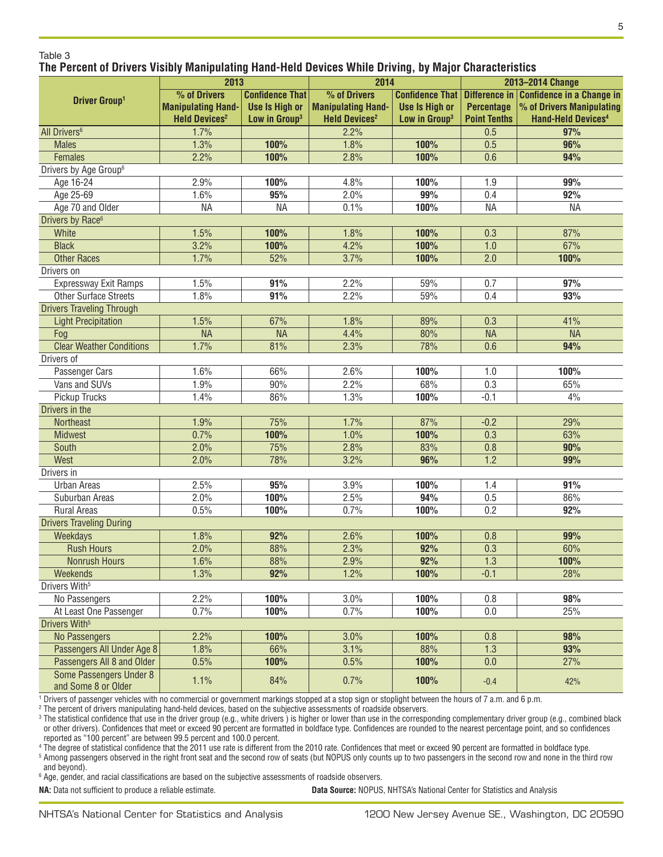#### Table 3 **The Percent of Drivers Visibly Manipulating Hand-Held Devices While Driving, by Major Characteristics**

|                                                | 2013                            |                           | 2014                            |                           | 2013-2014 Change    |                                  |
|------------------------------------------------|---------------------------------|---------------------------|---------------------------------|---------------------------|---------------------|----------------------------------|
| <b>Driver Group1</b>                           | % of Drivers                    | <b>Confidence That</b>    | % of Drivers                    | <b>Confidence That</b>    | Difference in       | <b>Confidence in a Change in</b> |
|                                                | <b>Manipulating Hand-</b>       | <b>Use Is High or</b>     | <b>Manipulating Hand-</b>       | <b>Use Is High or</b>     | <b>Percentage</b>   | % of Drivers Manipulating        |
|                                                | <b>Held Devices<sup>2</sup></b> | Low in Group <sup>3</sup> | <b>Held Devices<sup>2</sup></b> | Low in Group <sup>3</sup> | <b>Point Tenths</b> | <b>Hand-Held Devices4</b>        |
| All Drivers <sup>6</sup>                       | 1.7%                            |                           | 2.2%                            |                           | 0.5                 | 97%                              |
| <b>Males</b>                                   | 1.3%                            | 100%                      | 1.8%                            | 100%                      | 0.5                 | 96%                              |
| <b>Females</b>                                 | 2.2%                            | 100%                      | 2.8%                            | 100%                      | 0.6                 | 94%                              |
| Drivers by Age Group <sup>6</sup>              |                                 |                           |                                 |                           |                     |                                  |
| Age 16-24                                      | 2.9%                            | 100%                      | 4.8%                            | 100%                      | 1.9                 | 99%                              |
| Age 25-69                                      | 1.6%                            | 95%                       | 2.0%                            | 99%                       | 0.4                 | 92%                              |
| Age 70 and Older                               | <b>NA</b>                       | <b>NA</b>                 | 0.1%                            | 100%                      | <b>NA</b>           | <b>NA</b>                        |
| Drivers by Race <sup>6</sup>                   |                                 |                           |                                 |                           |                     |                                  |
| White                                          | 1.5%                            | 100%                      | 1.8%                            | 100%                      | 0.3                 | 87%                              |
| <b>Black</b>                                   | 3.2%                            | 100%                      | 4.2%                            | 100%                      | 1.0                 | 67%                              |
| <b>Other Races</b>                             | 1.7%                            | 52%                       | 3.7%                            | 100%                      | 2.0                 | 100%                             |
| Drivers on                                     |                                 |                           |                                 |                           |                     |                                  |
| Expressway Exit Ramps                          | 1.5%                            | 91%                       | 2.2%                            | 59%                       | 0.7                 | 97%                              |
| <b>Other Surface Streets</b>                   | 1.8%                            | 91%                       | 2.2%                            | 59%                       | 0.4                 | 93%                              |
| <b>Drivers Traveling Through</b>               |                                 |                           |                                 |                           |                     |                                  |
| <b>Light Precipitation</b>                     | 1.5%                            | 67%                       | 1.8%                            | 89%                       | 0.3                 | 41%                              |
| Fog                                            | <b>NA</b>                       | <b>NA</b>                 | 4.4%                            | 80%                       | <b>NA</b>           | <b>NA</b>                        |
| <b>Clear Weather Conditions</b>                | 1.7%                            | 81%                       | 2.3%                            | 78%                       | 0.6                 | 94%                              |
| Drivers of                                     |                                 |                           |                                 |                           |                     |                                  |
| Passenger Cars                                 | 1.6%                            | 66%                       | 2.6%                            | 100%                      | 1.0                 | 100%                             |
| Vans and SUVs                                  | 1.9%                            | 90%                       | 2.2%                            | 68%                       | 0.3                 | 65%                              |
| Pickup Trucks                                  | 1.4%                            | 86%                       | 1.3%                            | 100%                      | $-0.1$              | 4%                               |
| Drivers in the                                 |                                 |                           |                                 |                           |                     |                                  |
| <b>Northeast</b>                               | 1.9%                            | 75%                       | 1.7%                            | 87%                       | $-0.2$              | 29%                              |
| <b>Midwest</b>                                 | 0.7%                            | 100%                      | 1.0%                            | 100%                      | 0.3                 | 63%                              |
| South                                          | 2.0%                            | 75%                       | 2.8%                            | 83%                       | 0.8                 | 90%                              |
| West                                           | 2.0%                            | 78%                       | 3.2%                            | 96%                       | 1.2                 | 99%                              |
| Drivers in                                     |                                 |                           |                                 |                           |                     |                                  |
| Urban Areas                                    | 2.5%                            | 95%                       | 3.9%                            | 100%                      | 1.4                 | 91%                              |
| Suburban Areas                                 | 2.0%                            | 100%                      | 2.5%                            | 94%                       | 0.5                 | 86%                              |
| <b>Rural Areas</b>                             | 0.5%                            | 100%                      | 0.7%                            | 100%                      | 0.2                 | 92%                              |
| <b>Drivers Traveling During</b>                |                                 |                           |                                 |                           |                     |                                  |
| Weekdays                                       | 1.8%                            | 92%                       | 2.6%                            | 100%                      | 0.8                 | 99%                              |
| <b>Rush Hours</b>                              | 2.0%                            | 88%                       | 2.3%                            | 92%                       | 0.3                 | 60%                              |
| Nonrush Hours                                  | 1.6%                            | 88%                       | 2.9%                            | 92%                       | 1.3                 | 100%                             |
| Weekends                                       | 1.3%                            | 92%                       | 1.2%                            | 100%                      | $-0.1$              | 28%                              |
| Drivers With <sup>5</sup>                      |                                 |                           |                                 |                           |                     |                                  |
| No Passengers                                  | 2.2%                            | 100%                      | 3.0%                            | 100%                      | $0.8\,$             | 98%                              |
| At Least One Passenger                         | 0.7%                            | 100%                      | 0.7%                            | 100%                      | $0.0\,$             | 25%                              |
| Drivers With <sup>5</sup>                      |                                 |                           |                                 |                           |                     |                                  |
| No Passengers                                  | 2.2%                            | 100%                      | 3.0%                            | 100%                      | 0.8                 | 98%                              |
| Passengers All Under Age 8                     | 1.8%                            | 66%                       | 3.1%                            | 88%                       | 1.3                 | 93%                              |
| Passengers All 8 and Older                     | 0.5%                            | 100%                      | 0.5%                            | 100%                      | 0.0                 | 27%                              |
| Some Passengers Under 8<br>and Some 8 or Older | 1.1%                            | 84%                       | 0.7%                            | 100%                      | $-0.4$              | 42%                              |

1 Drivers of passenger vehicles with no commercial or government markings stopped at a stop sign or stoplight between the hours of 7 a.m. and 6 p.m.

2 The percent of drivers manipulating hand-held devices, based on the subjective assessments of roadside observers.

<sup>3</sup> The statistical confidence that use in the driver group (e.g., white drivers) is higher or lower than use in the corresponding complementary driver group (e.g., combined black or other drivers). Confidences that meet or exceed 90 percent are formatted in boldface type. Confidences are rounded to the nearest percentage point, and so confidences reported as "100 percent" are between 99.5 percent and 100.0 percent.

4 The degree of statistical confidence that the 2011 use rate is different from the 2010 rate. Confidences that meet or exceed 90 percent are formatted in boldface type.

<sup>5</sup> Among passengers observed in the right front seat and the second row of seats (but NOPUS only counts up to two passengers in the second row and none in the third row and beyond).

 $^{\rm 6}$  Age, gender, and racial classifications are based on the subjective assessments of roadside observers.

**NA:** Data not sufficient to produce a reliable estimate. **Data Source:** NOPUS, NHTSA's National Center for Statistics and Analysis

5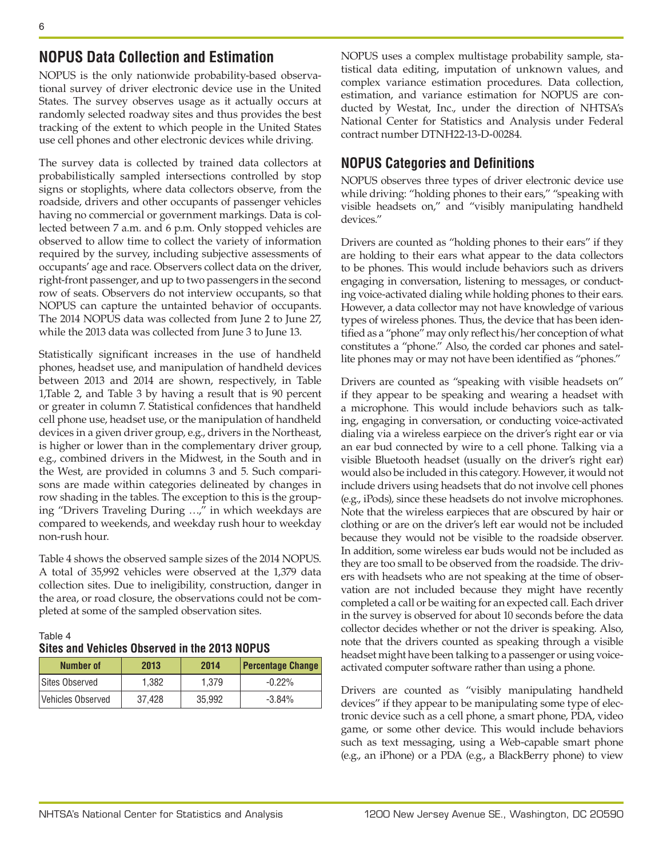## **NOPUS Data Collection and Estimation**

NOPUS is the only nationwide probability-based observational survey of driver electronic device use in the United States. The survey observes usage as it actually occurs at randomly selected roadway sites and thus provides the best tracking of the extent to which people in the United States use cell phones and other electronic devices while driving.

The survey data is collected by trained data collectors at probabilistically sampled intersections controlled by stop signs or stoplights, where data collectors observe, from the roadside, drivers and other occupants of passenger vehicles having no commercial or government markings. Data is collected between 7 a.m. and 6 p.m. Only stopped vehicles are observed to allow time to collect the variety of information required by the survey, including subjective assessments of occupants' age and race. Observers collect data on the driver, right-front passenger, and up to two passengers in the second row of seats. Observers do not interview occupants, so that NOPUS can capture the untainted behavior of occupants. The 2014 NOPUS data was collected from June 2 to June 27, while the 2013 data was collected from June 3 to June 13.

Statistically significant increases in the use of handheld phones, headset use, and manipulation of handheld devices between 2013 and 2014 are shown, respectively, in Table 1,Table 2, and Table 3 by having a result that is 90 percent or greater in column 7. Statistical confidences that handheld cell phone use, headset use, or the manipulation of handheld devices in a given driver group, e.g., drivers in the Northeast, is higher or lower than in the complementary driver group, e.g., combined drivers in the Midwest, in the South and in the West, are provided in columns 3 and 5. Such comparisons are made within categories delineated by changes in row shading in the tables. The exception to this is the grouping "Drivers Traveling During …," in which weekdays are compared to weekends, and weekday rush hour to weekday non-rush hour.

Table 4 shows the observed sample sizes of the 2014 NOPUS. A total of 35,992 vehicles were observed at the 1,379 data collection sites. Due to ineligibility, construction, danger in the area, or road closure, the observations could not be completed at some of the sampled observation sites.

### Table 4 **Sites and Vehicles Observed in the 2013 NOPUS**

| <b>Number of</b>  | 2013   | 2014   | <b>Percentage Change</b> |
|-------------------|--------|--------|--------------------------|
| Sites Observed    | 1.382  | 1.379  | $-0.22\%$                |
| Vehicles Observed | 37.428 | 35.992 | -3.84%                   |

NOPUS uses a complex multistage probability sample, statistical data editing, imputation of unknown values, and complex variance estimation procedures. Data collection, estimation, and variance estimation for NOPUS are conducted by Westat, Inc., under the direction of NHTSA's National Center for Statistics and Analysis under Federal contract number DTNH22-13-D-00284.

## **NOPUS Categories and Definitions**

NOPUS observes three types of driver electronic device use while driving: "holding phones to their ears," "speaking with visible headsets on," and "visibly manipulating handheld devices."

Drivers are counted as "holding phones to their ears" if they are holding to their ears what appear to the data collectors to be phones. This would include behaviors such as drivers engaging in conversation, listening to messages, or conducting voice-activated dialing while holding phones to their ears. However, a data collector may not have knowledge of various types of wireless phones. Thus, the device that has been identified as a "phone" may only reflect his/her conception of what constitutes a "phone." Also, the corded car phones and satellite phones may or may not have been identified as "phones."

Drivers are counted as "speaking with visible headsets on" if they appear to be speaking and wearing a headset with a microphone. This would include behaviors such as talking, engaging in conversation, or conducting voice-activated dialing via a wireless earpiece on the driver's right ear or via an ear bud connected by wire to a cell phone. Talking via a visible Bluetooth headset (usually on the driver's right ear) would also be included in this category. However, it would not include drivers using headsets that do not involve cell phones (e.g., iPods), since these headsets do not involve microphones. Note that the wireless earpieces that are obscured by hair or clothing or are on the driver's left ear would not be included because they would not be visible to the roadside observer. In addition, some wireless ear buds would not be included as they are too small to be observed from the roadside. The drivers with headsets who are not speaking at the time of observation are not included because they might have recently completed a call or be waiting for an expected call. Each driver in the survey is observed for about 10 seconds before the data collector decides whether or not the driver is speaking. Also, note that the drivers counted as speaking through a visible headset might have been talking to a passenger or using voiceactivated computer software rather than using a phone.

Drivers are counted as "visibly manipulating handheld devices" if they appear to be manipulating some type of electronic device such as a cell phone, a smart phone, PDA, video game, or some other device. This would include behaviors such as text messaging, using a Web-capable smart phone (e.g., an iPhone) or a PDA (e.g., a BlackBerry phone) to view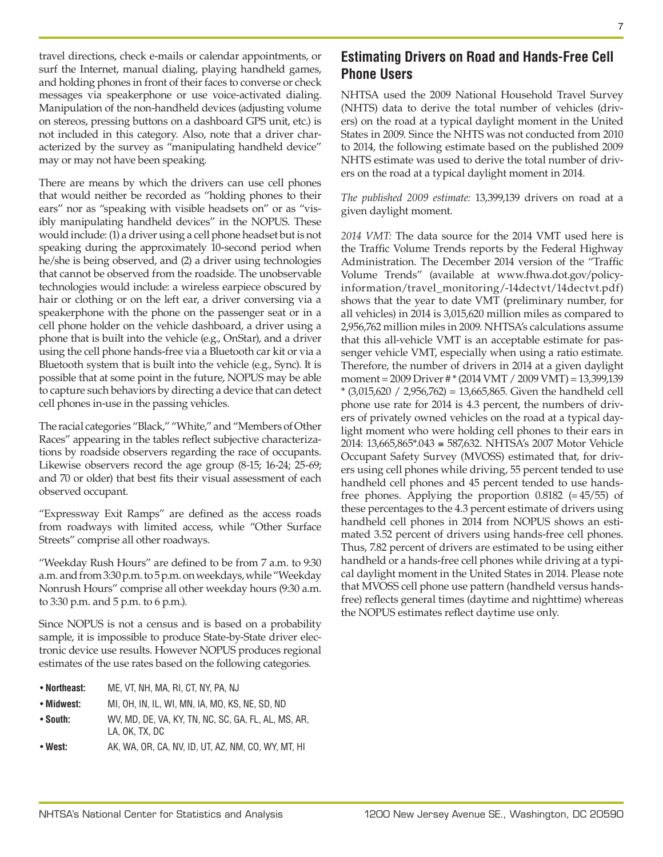travel directions, check e-mails or calendar appointments, or surf the Internet, manual dialing, playing handheld games, and holding phones in front of their faces to converse or check messages via speakerphone or use voice-activated dialing. Manipulation of the non-handheld devices (adjusting volume on stereos, pressing buttons on a dashboard GPS unit, etc.) is not included in this category. Also, note that a driver characterized by the survey as "manipulating handheld device" may or may not have been speaking.

There are means by which the drivers can use cell phones that would neither be recorded as "holding phones to their ears" nor as "speaking with visible headsets on" or as "visibly manipulating handheld devices" in the NOPUS. These would include: (1) a driver using a cell phone headset but is not speaking during the approximately 10-second period when he/she is being observed, and (2) a driver using technologies that cannot be observed from the roadside. The unobservable technologies would include: a wireless earpiece obscured by hair or clothing or on the left ear, a driver conversing via a speakerphone with the phone on the passenger seat or in a cell phone holder on the vehicle dashboard, a driver using a phone that is built into the vehicle (e.g., OnStar), and a driver using the cell phone hands-free via a Bluetooth car kit or via a Bluetooth system that is built into the vehicle (e.g., Sync). It is possible that at some point in the future, NOPUS may be able to capture such behaviors by directing a device that can detect cell phones in-use in the passing vehicles.

The racial categories "Black," "White," and "Members of Other Races" appearing in the tables reflect subjective characterizations by roadside observers regarding the race of occupants. Likewise observers record the age group (8-15; 16-24; 25-69; and 70 or older) that best fits their visual assessment of each observed occupant.

"Expressway Exit Ramps" are defined as the access roads from roadways with limited access, while "Other Surface Streets" comprise all other roadways.

"Weekday Rush Hours" are defined to be from 7 a.m. to 9:30 a.m. and from 3:30 p.m. to 5 p.m. on weekdays, while "Weekday Nonrush Hours" comprise all other weekday hours (9:30 a.m. to 3:30 p.m. and 5 p.m. to 6 p.m.).

Since NOPUS is not a census and is based on a probability sample, it is impossible to produce State-by-State driver electronic device use results. However NOPUS produces regional estimates of the use rates based on the following categories.

- **Northeast:** ME, VT, NH, MA, RI, CT, NY, PA, NJ
- **Midwest:** MI, OH, IN, IL, WI, MN, IA, MO, KS, NE, SD, ND
- **South:** WV, MD, DE, VA, KY, TN, NC, SC, GA, FL, AL, MS, AR, LA, OK, TX, DC
- West: **AK, WA, OR, CA, NV, ID, UT, AZ, NM, CO, WY, MT, HI**

## **Estimating Drivers on Road and Hands-Free Cell Phone Users**

NHTSA used the 2009 National Household Travel Survey (NHTS) data to derive the total number of vehicles (drivers) on the road at a typical daylight moment in the United States in 2009. Since the NHTS was not conducted from 2010 to 2014, the following estimate based on the published 2009 NHTS estimate was used to derive the total number of drivers on the road at a typical daylight moment in 2014.

*The published 2009 estimate:* 13,399,139 drivers on road at a given daylight moment.

*2014 VMT:* The data source for the 2014 VMT used here is the Traffic Volume Trends reports by the Federal Highway Administration. The December 2014 version of the "Traffic Volume Trends" (available at www.fhwa.dot.gov/policyinformation/travel\_monitoring/-14dectvt/14dectvt.pdf) shows that the year to date VMT (preliminary number, for all vehicles) in 2014 is 3,015,620 million miles as compared to 2,956,762 million miles in 2009. NHTSA's calculations assume that this all-vehicle VMT is an acceptable estimate for passenger vehicle VMT, especially when using a ratio estimate. Therefore, the number of drivers in 2014 at a given daylight moment = 2009 Driver # \* (2014 VMT / 2009 VMT) = 13,399,139 \* (3,015,620 / 2,956,762) = 13,665,865. Given the handheld cell phone use rate for 2014 is 4.3 percent, the numbers of drivers of privately owned vehicles on the road at a typical daylight moment who were holding cell phones to their ears in 2014: 13,665,865\*.043 ≅ 587,632. NHTSA's 2007 Motor Vehicle Occupant Safety Survey (MVOSS) estimated that, for drivers using cell phones while driving, 55 percent tended to use handheld cell phones and 45 percent tended to use handsfree phones. Applying the proportion  $0.8182$  (= 45/55) of these percentages to the 4.3 percent estimate of drivers using handheld cell phones in 2014 from NOPUS shows an estimated 3.52 percent of drivers using hands-free cell phones. Thus, 7.82 percent of drivers are estimated to be using either handheld or a hands-free cell phones while driving at a typical daylight moment in the United States in 2014. Please note that MVOSS cell phone use pattern (handheld versus handsfree) reflects general times (daytime and nighttime) whereas the NOPUS estimates reflect daytime use only.